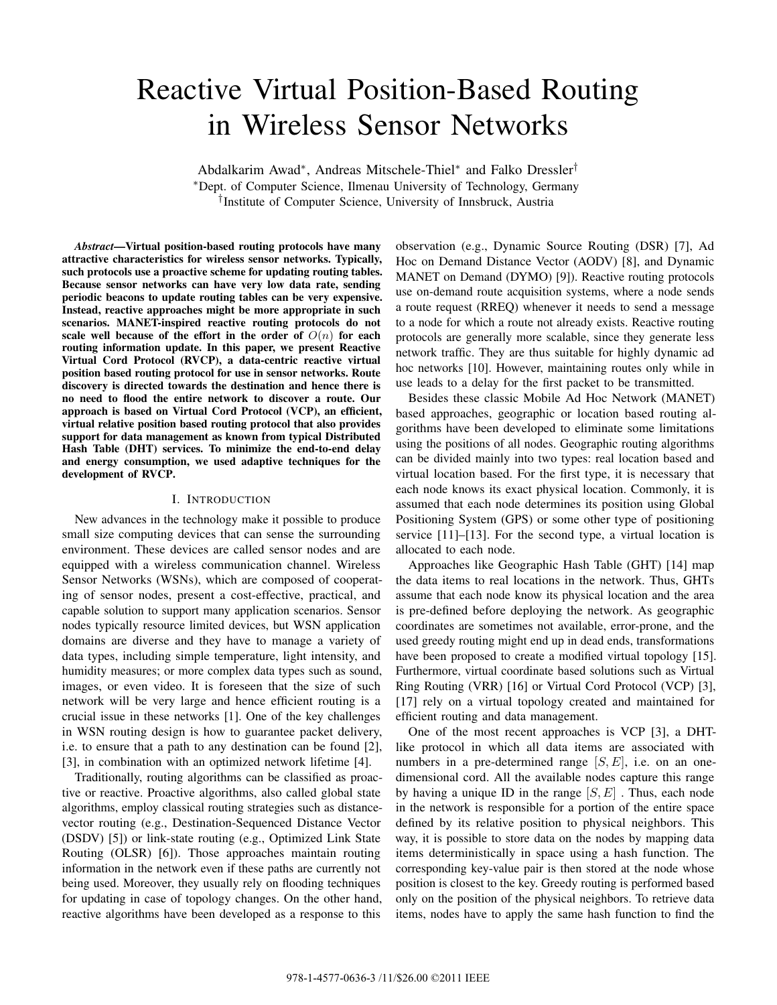# Reactive Virtual Position-Based Routing in Wireless Sensor Networks

Abdalkarim Awad<sup>∗</sup> , Andreas Mitschele-Thiel<sup>∗</sup> and Falko Dressler† <sup>∗</sup>Dept. of Computer Science, Ilmenau University of Technology, Germany † Institute of Computer Science, University of Innsbruck, Austria

*Abstract*—Virtual position-based routing protocols have many attractive characteristics for wireless sensor networks. Typically, such protocols use a proactive scheme for updating routing tables. Because sensor networks can have very low data rate, sending periodic beacons to update routing tables can be very expensive. Instead, reactive approaches might be more appropriate in such scenarios. MANET-inspired reactive routing protocols do not scale well because of the effort in the order of  $O(n)$  for each routing information update. In this paper, we present Reactive Virtual Cord Protocol (RVCP), a data-centric reactive virtual position based routing protocol for use in sensor networks. Route discovery is directed towards the destination and hence there is no need to flood the entire network to discover a route. Our approach is based on Virtual Cord Protocol (VCP), an efficient, virtual relative position based routing protocol that also provides support for data management as known from typical Distributed Hash Table (DHT) services. To minimize the end-to-end delay and energy consumption, we used adaptive techniques for the development of RVCP.

# I. INTRODUCTION

New advances in the technology make it possible to produce small size computing devices that can sense the surrounding environment. These devices are called sensor nodes and are equipped with a wireless communication channel. Wireless Sensor Networks (WSNs), which are composed of cooperating of sensor nodes, present a cost-effective, practical, and capable solution to support many application scenarios. Sensor nodes typically resource limited devices, but WSN application domains are diverse and they have to manage a variety of data types, including simple temperature, light intensity, and humidity measures; or more complex data types such as sound, images, or even video. It is foreseen that the size of such network will be very large and hence efficient routing is a crucial issue in these networks [1]. One of the key challenges in WSN routing design is how to guarantee packet delivery, i.e. to ensure that a path to any destination can be found [2], [3], in combination with an optimized network lifetime [4].

Traditionally, routing algorithms can be classified as proactive or reactive. Proactive algorithms, also called global state algorithms, employ classical routing strategies such as distancevector routing (e.g., Destination-Sequenced Distance Vector (DSDV) [5]) or link-state routing (e.g., Optimized Link State Routing (OLSR) [6]). Those approaches maintain routing information in the network even if these paths are currently not being used. Moreover, they usually rely on flooding techniques for updating in case of topology changes. On the other hand, reactive algorithms have been developed as a response to this

observation (e.g., Dynamic Source Routing (DSR) [7], Ad Hoc on Demand Distance Vector (AODV) [8], and Dynamic MANET on Demand (DYMO) [9]). Reactive routing protocols use on-demand route acquisition systems, where a node sends a route request (RREQ) whenever it needs to send a message to a node for which a route not already exists. Reactive routing protocols are generally more scalable, since they generate less network traffic. They are thus suitable for highly dynamic ad hoc networks [10]. However, maintaining routes only while in use leads to a delay for the first packet to be transmitted.

Besides these classic Mobile Ad Hoc Network (MANET) based approaches, geographic or location based routing algorithms have been developed to eliminate some limitations using the positions of all nodes. Geographic routing algorithms can be divided mainly into two types: real location based and virtual location based. For the first type, it is necessary that each node knows its exact physical location. Commonly, it is assumed that each node determines its position using Global Positioning System (GPS) or some other type of positioning service [11]–[13]. For the second type, a virtual location is allocated to each node.

Approaches like Geographic Hash Table (GHT) [14] map the data items to real locations in the network. Thus, GHTs assume that each node know its physical location and the area is pre-defined before deploying the network. As geographic coordinates are sometimes not available, error-prone, and the used greedy routing might end up in dead ends, transformations have been proposed to create a modified virtual topology [15]. Furthermore, virtual coordinate based solutions such as Virtual Ring Routing (VRR) [16] or Virtual Cord Protocol (VCP) [3], [17] rely on a virtual topology created and maintained for efficient routing and data management.

One of the most recent approaches is VCP [3], a DHTlike protocol in which all data items are associated with numbers in a pre-determined range  $[S, E]$ , i.e. on an onedimensional cord. All the available nodes capture this range by having a unique ID in the range  $[S, E]$ . Thus, each node in the network is responsible for a portion of the entire space defined by its relative position to physical neighbors. This way, it is possible to store data on the nodes by mapping data items deterministically in space using a hash function. The corresponding key-value pair is then stored at the node whose position is closest to the key. Greedy routing is performed based only on the position of the physical neighbors. To retrieve data items, nodes have to apply the same hash function to find the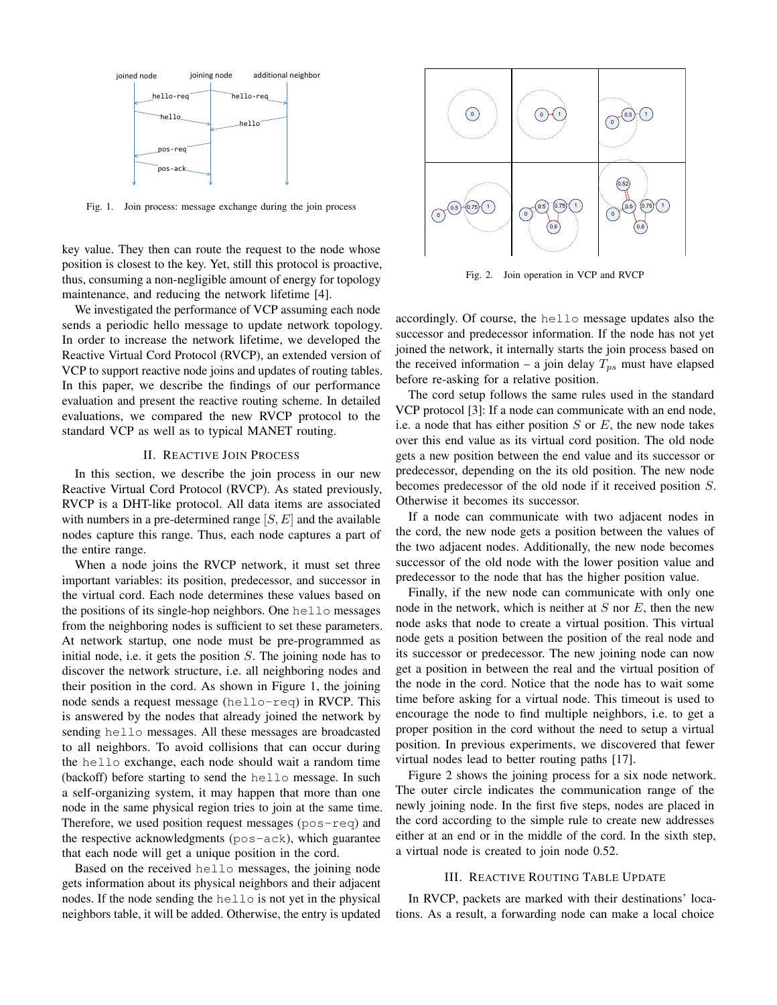

Fig. 1. Join process: message exchange during the join process

key value. They then can route the request to the node whose position is closest to the key. Yet, still this protocol is proactive, thus, consuming a non-negligible amount of energy for topology maintenance, and reducing the network lifetime [4].

We investigated the performance of VCP assuming each node sends a periodic hello message to update network topology. In order to increase the network lifetime, we developed the Reactive Virtual Cord Protocol (RVCP), an extended version of VCP to support reactive node joins and updates of routing tables. In this paper, we describe the findings of our performance evaluation and present the reactive routing scheme. In detailed evaluations, we compared the new RVCP protocol to the standard VCP as well as to typical MANET routing.

#### II. REACTIVE JOIN PROCESS

In this section, we describe the join process in our new Reactive Virtual Cord Protocol (RVCP). As stated previously, RVCP is a DHT-like protocol. All data items are associated with numbers in a pre-determined range  $[S, E]$  and the available nodes capture this range. Thus, each node captures a part of the entire range.

When a node joins the RVCP network, it must set three important variables: its position, predecessor, and successor in the virtual cord. Each node determines these values based on the positions of its single-hop neighbors. One hello messages from the neighboring nodes is sufficient to set these parameters. At network startup, one node must be pre-programmed as initial node, i.e. it gets the position  $S$ . The joining node has to discover the network structure, i.e. all neighboring nodes and their position in the cord. As shown in Figure 1, the joining node sends a request message (hello-req) in RVCP. This is answered by the nodes that already joined the network by sending hello messages. All these messages are broadcasted to all neighbors. To avoid collisions that can occur during the hello exchange, each node should wait a random time (backoff) before starting to send the hello message. In such a self-organizing system, it may happen that more than one node in the same physical region tries to join at the same time. Therefore, we used position request messages (pos-req) and the respective acknowledgments (pos-ack), which guarantee that each node will get a unique position in the cord.

Based on the received hello messages, the joining node gets information about its physical neighbors and their adjacent nodes. If the node sending the hello is not yet in the physical neighbors table, it will be added. Otherwise, the entry is updated



Fig. 2. Join operation in VCP and RVCP

accordingly. Of course, the hello message updates also the successor and predecessor information. If the node has not yet joined the network, it internally starts the join process based on the received information – a join delay  $T_{ps}$  must have elapsed before re-asking for a relative position.

The cord setup follows the same rules used in the standard VCP protocol [3]: If a node can communicate with an end node, i.e. a node that has either position  $S$  or  $E$ , the new node takes over this end value as its virtual cord position. The old node gets a new position between the end value and its successor or predecessor, depending on the its old position. The new node becomes predecessor of the old node if it received position S. Otherwise it becomes its successor.

If a node can communicate with two adjacent nodes in the cord, the new node gets a position between the values of the two adjacent nodes. Additionally, the new node becomes successor of the old node with the lower position value and predecessor to the node that has the higher position value.

Finally, if the new node can communicate with only one node in the network, which is neither at  $S$  nor  $E$ , then the new node asks that node to create a virtual position. This virtual node gets a position between the position of the real node and its successor or predecessor. The new joining node can now get a position in between the real and the virtual position of the node in the cord. Notice that the node has to wait some time before asking for a virtual node. This timeout is used to encourage the node to find multiple neighbors, i.e. to get a proper position in the cord without the need to setup a virtual position. In previous experiments, we discovered that fewer virtual nodes lead to better routing paths [17].

Figure 2 shows the joining process for a six node network. The outer circle indicates the communication range of the newly joining node. In the first five steps, nodes are placed in the cord according to the simple rule to create new addresses either at an end or in the middle of the cord. In the sixth step, a virtual node is created to join node 0.52.

## III. REACTIVE ROUTING TABLE UPDATE

In RVCP, packets are marked with their destinations' locations. As a result, a forwarding node can make a local choice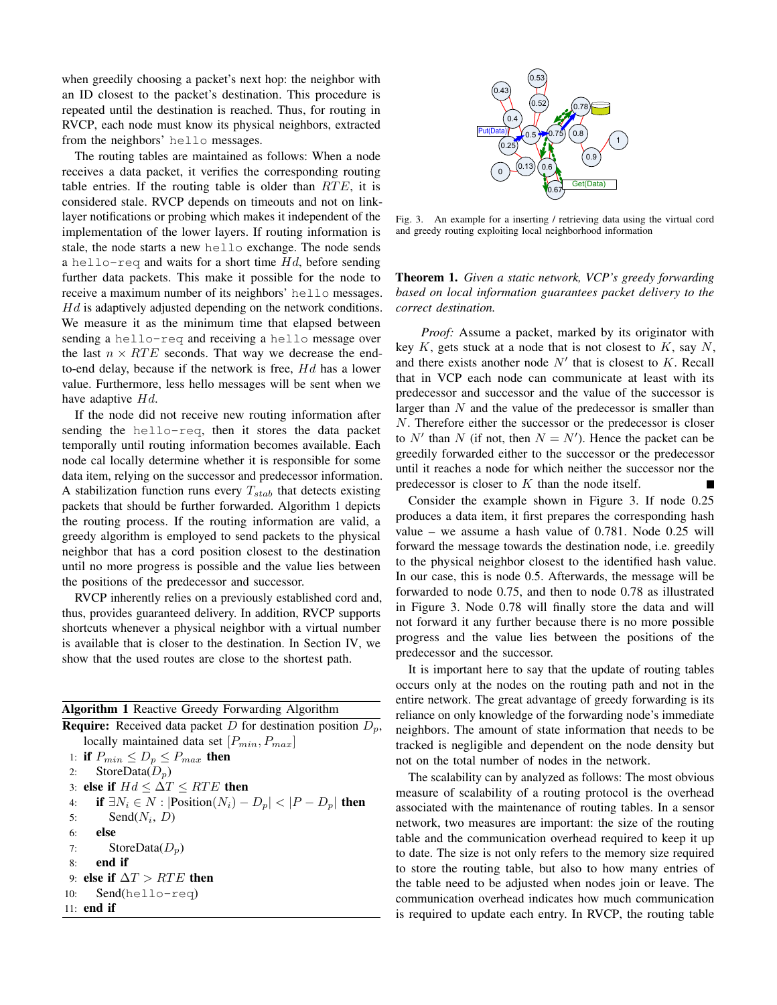when greedily choosing a packet's next hop: the neighbor with an ID closest to the packet's destination. This procedure is repeated until the destination is reached. Thus, for routing in RVCP, each node must know its physical neighbors, extracted from the neighbors' hello messages.

The routing tables are maintained as follows: When a node receives a data packet, it verifies the corresponding routing table entries. If the routing table is older than  $RTE$ , it is considered stale. RVCP depends on timeouts and not on linklayer notifications or probing which makes it independent of the implementation of the lower layers. If routing information is stale, the node starts a new hello exchange. The node sends a hello-req and waits for a short time  $Hd$ , before sending further data packets. This make it possible for the node to receive a maximum number of its neighbors' hello messages.  $Hd$  is adaptively adjusted depending on the network conditions. We measure it as the minimum time that elapsed between sending a hello-req and receiving a hello message over the last  $n \times RTE$  seconds. That way we decrease the endto-end delay, because if the network is free, Hd has a lower value. Furthermore, less hello messages will be sent when we have adaptive  $Hd$ .

If the node did not receive new routing information after sending the hello-req, then it stores the data packet temporally until routing information becomes available. Each node cal locally determine whether it is responsible for some data item, relying on the successor and predecessor information. A stabilization function runs every  $T_{stab}$  that detects existing packets that should be further forwarded. Algorithm 1 depicts the routing process. If the routing information are valid, a greedy algorithm is employed to send packets to the physical neighbor that has a cord position closest to the destination until no more progress is possible and the value lies between the positions of the predecessor and successor.

RVCP inherently relies on a previously established cord and, thus, provides guaranteed delivery. In addition, RVCP supports shortcuts whenever a physical neighbor with a virtual number is available that is closer to the destination. In Section IV, we show that the used routes are close to the shortest path.

| <b>Algorithm 1</b> Reactive Greedy Forwarding Algorithm                      |
|------------------------------------------------------------------------------|
| <b>Require:</b> Received data packet D for destination position $D_n$ ,      |
| locally maintained data set $[P_{min}, P_{max}]$                             |
| 1: if $P_{min} \le D_p \le P_{max}$ then                                     |
| StoreData $(D_p)$<br>2:                                                      |
| 3: else if $Hd \leq \Delta T \leq RTE$ then                                  |
| if $\exists N_i \in N :  \text{Position}(N_i) - D_p  <  P - D_p $ then<br>4: |
| Send $(N_i, D)$<br>5:                                                        |
| 6: else                                                                      |
| StoreData $(D_p)$<br>7:                                                      |
| end if<br>8:                                                                 |
| 9: else if $\Delta T > RTE$ then                                             |
| $Send(hello-req)$<br>10:                                                     |
| 11: <b>end if</b>                                                            |
|                                                                              |



Fig. 3. An example for a inserting / retrieving data using the virtual cord and greedy routing exploiting local neighborhood information

Theorem 1. *Given a static network, VCP's greedy forwarding based on local information guarantees packet delivery to the correct destination.*

*Proof:* Assume a packet, marked by its originator with key  $K$ , gets stuck at a node that is not closest to  $K$ , say  $N$ , and there exists another node  $N'$  that is closest to  $K$ . Recall that in VCP each node can communicate at least with its predecessor and successor and the value of the successor is larger than  $N$  and the value of the predecessor is smaller than N. Therefore either the successor or the predecessor is closer to N' than N (if not, then  $N = N'$ ). Hence the packet can be greedily forwarded either to the successor or the predecessor until it reaches a node for which neither the successor nor the predecessor is closer to  $K$  than the node itself.

Consider the example shown in Figure 3. If node 0.25 produces a data item, it first prepares the corresponding hash value – we assume a hash value of 0.781. Node 0.25 will forward the message towards the destination node, i.e. greedily to the physical neighbor closest to the identified hash value. In our case, this is node 0.5. Afterwards, the message will be forwarded to node 0.75, and then to node 0.78 as illustrated in Figure 3. Node 0.78 will finally store the data and will not forward it any further because there is no more possible progress and the value lies between the positions of the predecessor and the successor.

It is important here to say that the update of routing tables occurs only at the nodes on the routing path and not in the entire network. The great advantage of greedy forwarding is its reliance on only knowledge of the forwarding node's immediate neighbors. The amount of state information that needs to be tracked is negligible and dependent on the node density but not on the total number of nodes in the network.

The scalability can by analyzed as follows: The most obvious measure of scalability of a routing protocol is the overhead associated with the maintenance of routing tables. In a sensor network, two measures are important: the size of the routing table and the communication overhead required to keep it up to date. The size is not only refers to the memory size required to store the routing table, but also to how many entries of the table need to be adjusted when nodes join or leave. The communication overhead indicates how much communication is required to update each entry. In RVCP, the routing table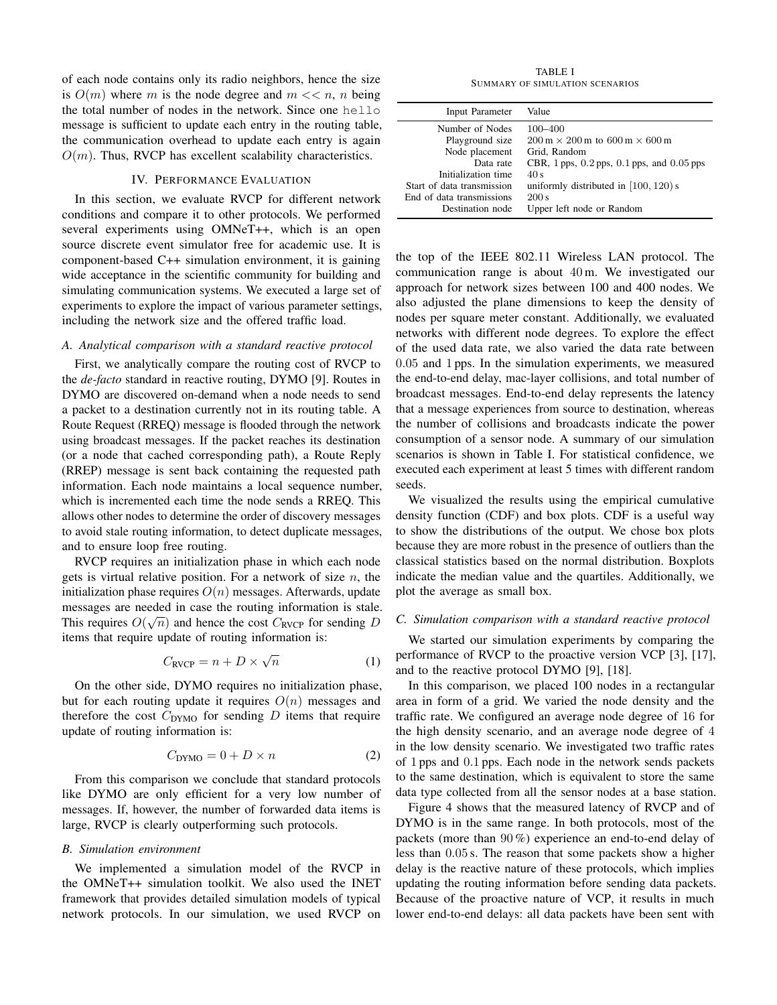of each node contains only its radio neighbors, hence the size is  $O(m)$  where m is the node degree and  $m \ll n$ , n being the total number of nodes in the network. Since one hello message is sufficient to update each entry in the routing table, the communication overhead to update each entry is again  $O(m)$ . Thus, RVCP has excellent scalability characteristics.

## IV. PERFORMANCE EVALUATION

In this section, we evaluate RVCP for different network conditions and compare it to other protocols. We performed several experiments using OMNeT++, which is an open source discrete event simulator free for academic use. It is component-based C++ simulation environment, it is gaining wide acceptance in the scientific community for building and simulating communication systems. We executed a large set of experiments to explore the impact of various parameter settings, including the network size and the offered traffic load.

#### *A. Analytical comparison with a standard reactive protocol*

First, we analytically compare the routing cost of RVCP to the *de-facto* standard in reactive routing, DYMO [9]. Routes in DYMO are discovered on-demand when a node needs to send a packet to a destination currently not in its routing table. A Route Request (RREQ) message is flooded through the network using broadcast messages. If the packet reaches its destination (or a node that cached corresponding path), a Route Reply (RREP) message is sent back containing the requested path information. Each node maintains a local sequence number, which is incremented each time the node sends a RREQ. This allows other nodes to determine the order of discovery messages to avoid stale routing information, to detect duplicate messages, and to ensure loop free routing.

RVCP requires an initialization phase in which each node gets is virtual relative position. For a network of size  $n$ , the initialization phase requires  $O(n)$  messages. Afterwards, update messages are needed in case the routing information is stale. This requires  $O(\sqrt{n})$  and hence the cost  $C_{\text{RVCP}}$  for sending D items that require update of routing information is:

$$
C_{\text{RVCP}} = n + D \times \sqrt{n} \tag{1}
$$

On the other side, DYMO requires no initialization phase, but for each routing update it requires  $O(n)$  messages and therefore the cost  $C_{\text{DYMO}}$  for sending D items that require update of routing information is:

$$
C_{\text{DYMO}} = 0 + D \times n \tag{2}
$$

From this comparison we conclude that standard protocols like DYMO are only efficient for a very low number of messages. If, however, the number of forwarded data items is large, RVCP is clearly outperforming such protocols.

#### *B. Simulation environment*

We implemented a simulation model of the RVCP in the OMNeT++ simulation toolkit. We also used the INET framework that provides detailed simulation models of typical network protocols. In our simulation, we used RVCP on

TABLE I SUMMARY OF SIMULATION SCENARIOS

| <b>Input Parameter</b>                                                                                                                                                  | Value                                                                                                                                                                                                                                       |
|-------------------------------------------------------------------------------------------------------------------------------------------------------------------------|---------------------------------------------------------------------------------------------------------------------------------------------------------------------------------------------------------------------------------------------|
| Number of Nodes<br>Playground size<br>Node placement<br>Data rate<br>Initialization time<br>Start of data transmission<br>End of data transmissions<br>Destination node | 100-400<br>$200 \,\mathrm{m} \times 200 \,\mathrm{m}$ to 600 m $\times$ 600 m<br>Grid, Random<br>CBR, $1$ pps, $0.2$ pps, $0.1$ pps, and $0.05$ pps<br>40s<br>uniformly distributed in $[100, 120)$ s<br>200 s<br>Upper left node or Random |

the top of the IEEE 802.11 Wireless LAN protocol. The communication range is about 40 m. We investigated our approach for network sizes between 100 and 400 nodes. We also adjusted the plane dimensions to keep the density of nodes per square meter constant. Additionally, we evaluated networks with different node degrees. To explore the effect of the used data rate, we also varied the data rate between 0.05 and 1 pps. In the simulation experiments, we measured the end-to-end delay, mac-layer collisions, and total number of broadcast messages. End-to-end delay represents the latency that a message experiences from source to destination, whereas the number of collisions and broadcasts indicate the power consumption of a sensor node. A summary of our simulation scenarios is shown in Table I. For statistical confidence, we executed each experiment at least 5 times with different random seeds.

We visualized the results using the empirical cumulative density function (CDF) and box plots. CDF is a useful way to show the distributions of the output. We chose box plots because they are more robust in the presence of outliers than the classical statistics based on the normal distribution. Boxplots indicate the median value and the quartiles. Additionally, we plot the average as small box.

## *C. Simulation comparison with a standard reactive protocol*

We started our simulation experiments by comparing the performance of RVCP to the proactive version VCP [3], [17], and to the reactive protocol DYMO [9], [18].

In this comparison, we placed 100 nodes in a rectangular area in form of a grid. We varied the node density and the traffic rate. We configured an average node degree of 16 for the high density scenario, and an average node degree of 4 in the low density scenario. We investigated two traffic rates of 1 pps and 0.1 pps. Each node in the network sends packets to the same destination, which is equivalent to store the same data type collected from all the sensor nodes at a base station.

Figure 4 shows that the measured latency of RVCP and of DYMO is in the same range. In both protocols, most of the packets (more than 90 %) experience an end-to-end delay of less than 0.05 s. The reason that some packets show a higher delay is the reactive nature of these protocols, which implies updating the routing information before sending data packets. Because of the proactive nature of VCP, it results in much lower end-to-end delays: all data packets have been sent with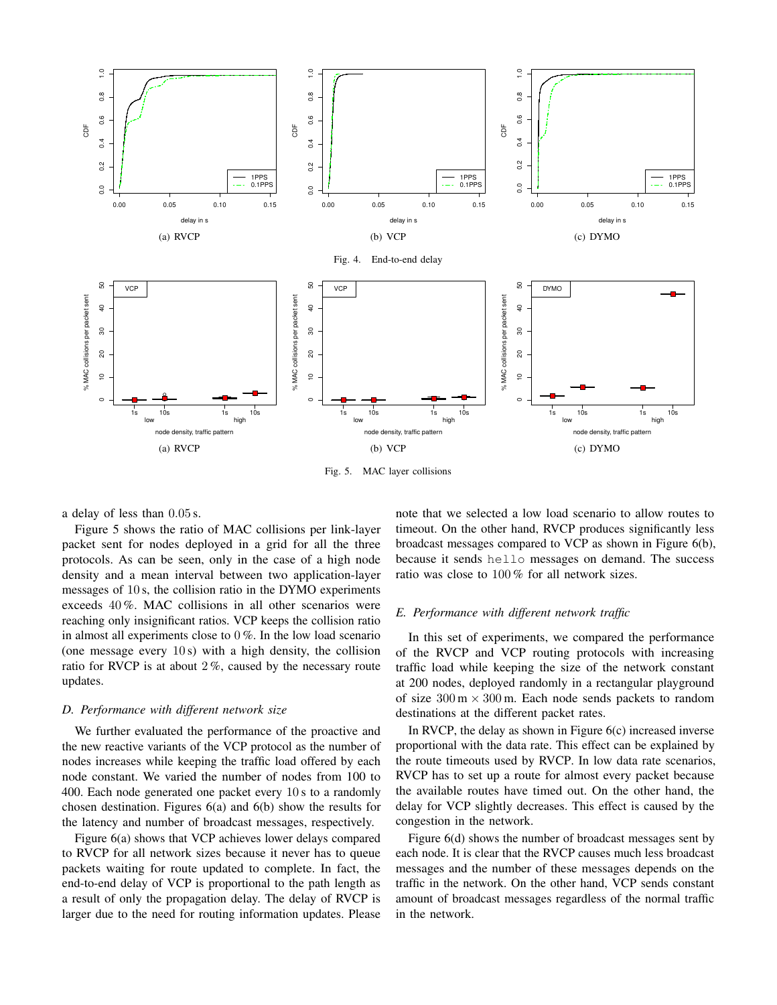

Fig. 5. MAC layer collisions

a delay of less than 0.05 s.

Figure 5 shows the ratio of MAC collisions per link-layer packet sent for nodes deployed in a grid for all the three protocols. As can be seen, only in the case of a high node density and a mean interval between two application-layer messages of 10 s, the collision ratio in the DYMO experiments exceeds 40 %. MAC collisions in all other scenarios were reaching only insignificant ratios. VCP keeps the collision ratio in almost all experiments close to 0 %. In the low load scenario (one message every 10 s) with a high density, the collision ratio for RVCP is at about 2 %, caused by the necessary route updates.

## *D. Performance with different network size*

We further evaluated the performance of the proactive and the new reactive variants of the VCP protocol as the number of nodes increases while keeping the traffic load offered by each node constant. We varied the number of nodes from 100 to 400. Each node generated one packet every 10 s to a randomly chosen destination. Figures 6(a) and 6(b) show the results for the latency and number of broadcast messages, respectively.

Figure 6(a) shows that VCP achieves lower delays compared to RVCP for all network sizes because it never has to queue packets waiting for route updated to complete. In fact, the end-to-end delay of VCP is proportional to the path length as a result of only the propagation delay. The delay of RVCP is larger due to the need for routing information updates. Please note that we selected a low load scenario to allow routes to timeout. On the other hand, RVCP produces significantly less broadcast messages compared to VCP as shown in Figure 6(b), because it sends hello messages on demand. The success ratio was close to 100 % for all network sizes.

## *E. Performance with different network traffic*

In this set of experiments, we compared the performance of the RVCP and VCP routing protocols with increasing traffic load while keeping the size of the network constant at 200 nodes, deployed randomly in a rectangular playground of size  $300 \text{ m} \times 300 \text{ m}$ . Each node sends packets to random destinations at the different packet rates.

In RVCP, the delay as shown in Figure  $6(c)$  increased inverse proportional with the data rate. This effect can be explained by the route timeouts used by RVCP. In low data rate scenarios, RVCP has to set up a route for almost every packet because the available routes have timed out. On the other hand, the delay for VCP slightly decreases. This effect is caused by the congestion in the network.

Figure 6(d) shows the number of broadcast messages sent by each node. It is clear that the RVCP causes much less broadcast messages and the number of these messages depends on the traffic in the network. On the other hand, VCP sends constant amount of broadcast messages regardless of the normal traffic in the network.